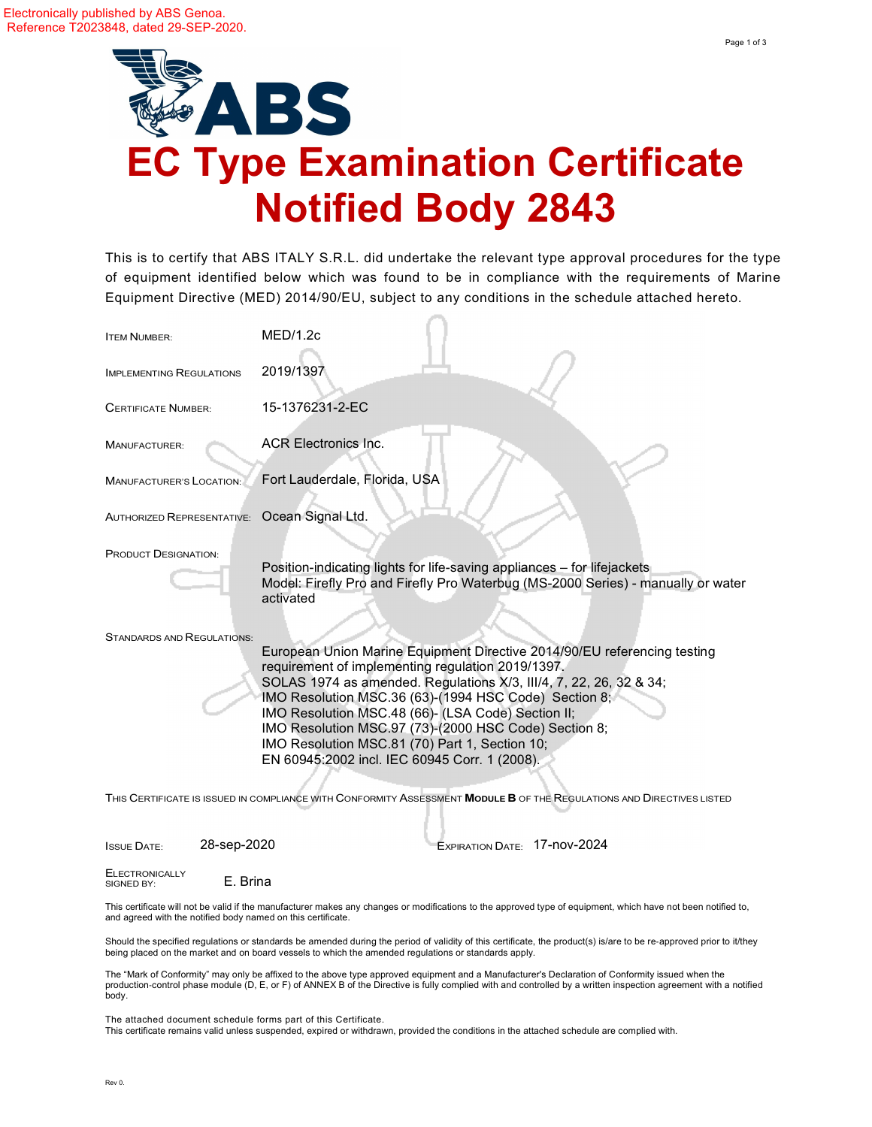

This is to certify that ABS ITALY S.R.L. did undertake the relevant type approval procedures for the type of equipment identified below which was found to be in compliance with the requirements of Marine Equipment Directive (MED) 201 4/90/EU, subject to any conditions in the schedule attached hereto.

| <b>ITEM NUMBER:</b>                          | MED/1.2c                                                                                                                                                                                                                                                                                                                                                                                                                                                                                                                                                                                                       |
|----------------------------------------------|----------------------------------------------------------------------------------------------------------------------------------------------------------------------------------------------------------------------------------------------------------------------------------------------------------------------------------------------------------------------------------------------------------------------------------------------------------------------------------------------------------------------------------------------------------------------------------------------------------------|
| <b>IMPLEMENTING REGULATIONS</b>              | 2019/1397                                                                                                                                                                                                                                                                                                                                                                                                                                                                                                                                                                                                      |
| <b>CERTIFICATE NUMBER:</b>                   | 15-1376231-2-EC                                                                                                                                                                                                                                                                                                                                                                                                                                                                                                                                                                                                |
| MANUFACTURER:                                | <b>ACR Electronics Inc.</b>                                                                                                                                                                                                                                                                                                                                                                                                                                                                                                                                                                                    |
| <b>MANUFACTURER'S LOCATION:</b>              | Fort Lauderdale, Florida, USA                                                                                                                                                                                                                                                                                                                                                                                                                                                                                                                                                                                  |
| AUTHORIZED REPRESENTATIVE: Ocean Signal Ltd. |                                                                                                                                                                                                                                                                                                                                                                                                                                                                                                                                                                                                                |
| <b>PRODUCT DESIGNATION:</b>                  | Position-indicating lights for life-saving appliances - for lifejackets<br>Model: Firefly Pro and Firefly Pro Waterbug (MS-2000 Series) - manually or water<br>activated                                                                                                                                                                                                                                                                                                                                                                                                                                       |
| <b>STANDARDS AND REGULATIONS:</b>            | European Union Marine Equipment Directive 2014/90/EU referencing testing<br>requirement of implementing regulation 2019/1397.<br>SOLAS 1974 as amended. Regulations X/3, III/4, 7, 22, 26, 32 & 34;<br>IMO Resolution MSC.36 (63)-(1994 HSC Code) Section 8;<br>IMO Resolution MSC.48 (66)- (LSA Code) Section II;<br>IMO Resolution MSC.97 (73)-(2000 HSC Code) Section 8;<br>IMO Resolution MSC.81 (70) Part 1, Section 10;<br>EN 60945:2002 incl. IEC 60945 Corr. 1 (2008).<br>THIS CERTIFICATE IS ISSUED IN COMPLIANCE WITH CONFORMITY ASSESSMENT <b>MODULE B</b> OF THE REGULATIONS AND DIRECTIVES LISTED |

ISSUE DATE: 28-sep-2020 EXPIRATION DATE: 17-nov-2024

ELECTRONICALLY<br>SIGNED BY: E. Brina

This certificate will not be valid if the manufacturer makes any changes or modifications to the approved type of equipment, which have not been notified to, and agreed with the notified body named on this certificate.

Should the specified regulations or standards be amended during the period of validity of this certificate, the product(s) is/are to be re‐approved prior to it/they being placed on the market and on board vessels to which the amended regulations or standards apply.

The "Mark of Conformity" may only be affixed to the above type approved equipment and a Manufacturer's Declaration of Conformity issued when the production-control phase module (D, E, or F) of ANNEX B of the Directive is fully complied with and controlled by a written inspection agreement with a notified body.

The attached document schedule forms part of this Certificate. This certificate remains valid unless suspended, expired or withdrawn, provided the conditions in the attached schedule are complied with.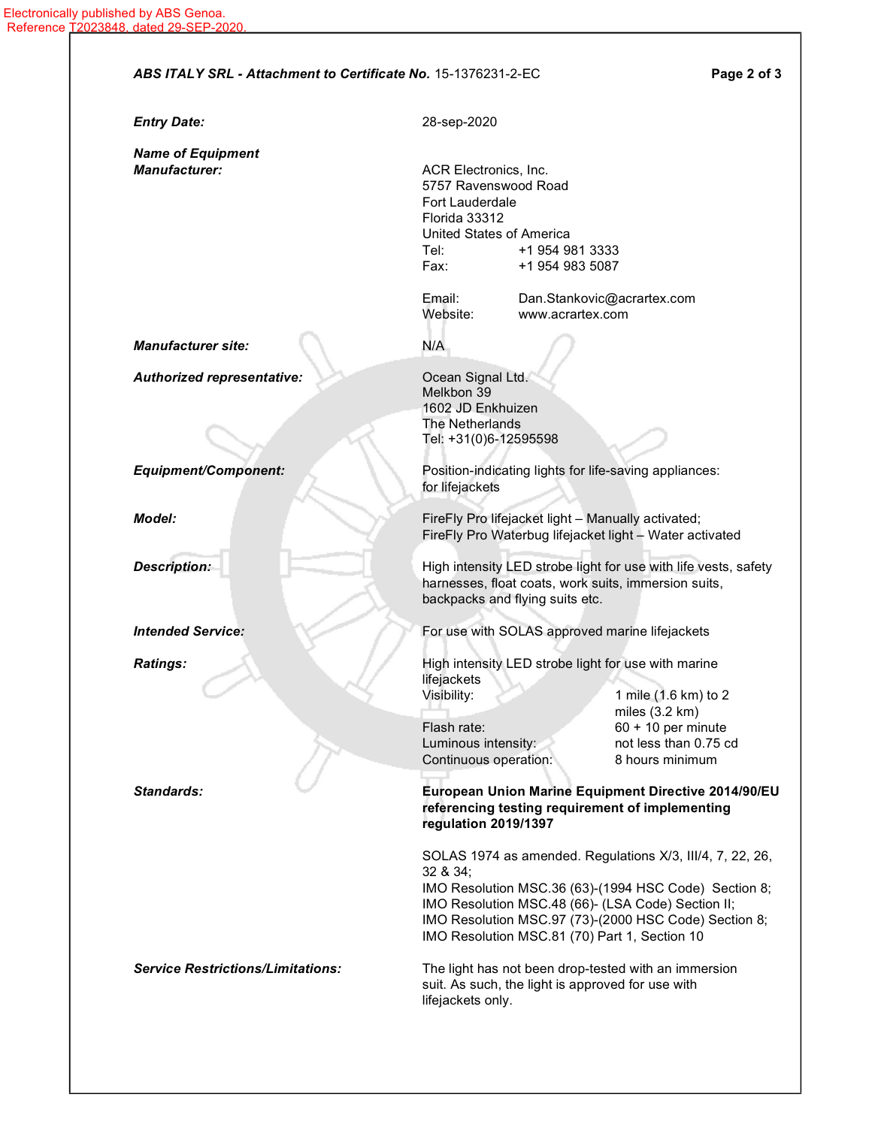|                                                  | ABS ITALY SRL - Attachment to Certificate No. 15-1376231-2-EC<br>Page 2 of 3                                                                                                                                                                                                                   |
|--------------------------------------------------|------------------------------------------------------------------------------------------------------------------------------------------------------------------------------------------------------------------------------------------------------------------------------------------------|
| <b>Entry Date:</b>                               | 28-sep-2020                                                                                                                                                                                                                                                                                    |
| <b>Name of Equipment</b><br><b>Manufacturer:</b> | ACR Electronics, Inc.<br>5757 Ravenswood Road<br><b>Fort Lauderdale</b><br>Florida 33312<br>United States of America<br>Tel:<br>+1 954 981 3333<br>Fax:<br>+1 954 983 5087<br>Email:<br>Dan.Stankovic@acrartex.com                                                                             |
|                                                  | Website:<br>www.acrartex.com                                                                                                                                                                                                                                                                   |
| <b>Manufacturer site:</b>                        | N/A                                                                                                                                                                                                                                                                                            |
| <b>Authorized representative:</b>                | Ocean Signal Ltd.<br>Melkbon 39<br>1602 JD Enkhuizen<br>The Netherlands<br>Tel: +31(0)6-12595598                                                                                                                                                                                               |
| <b>Equipment/Component:</b>                      | Position-indicating lights for life-saving appliances:<br>for lifejackets                                                                                                                                                                                                                      |
| Model:                                           | FireFly Pro lifejacket light - Manually activated;<br>FireFly Pro Waterbug lifejacket light - Water activated                                                                                                                                                                                  |
| <b>Description:</b>                              | High intensity LED strobe light for use with life vests, safety<br>harnesses, float coats, work suits, immersion suits,<br>backpacks and flying suits etc.                                                                                                                                     |
| <b>Intended Service:</b>                         | For use with SOLAS approved marine lifejackets                                                                                                                                                                                                                                                 |
| <b>Ratings:</b>                                  | High intensity LED strobe light for use with marine<br>lifejackets<br>1 mile (1.6 km) to 2<br>Visibility:                                                                                                                                                                                      |
|                                                  | miles $(3.2 \text{ km})$<br>$60 + 10$ per minute<br>Flash rate:<br>not less than 0.75 cd<br>Luminous intensity:<br>Continuous operation:<br>8 hours minimum                                                                                                                                    |
| Standards:                                       | European Union Marine Equipment Directive 2014/90/EU<br>referencing testing requirement of implementing<br>regulation 2019/1397                                                                                                                                                                |
|                                                  | SOLAS 1974 as amended. Regulations X/3, III/4, 7, 22, 26,<br>32 & 34;<br>IMO Resolution MSC.36 (63)-(1994 HSC Code) Section 8;<br>IMO Resolution MSC.48 (66)- (LSA Code) Section II;<br>IMO Resolution MSC.97 (73)-(2000 HSC Code) Section 8;<br>IMO Resolution MSC.81 (70) Part 1, Section 10 |
| <b>Service Restrictions/Limitations:</b>         | The light has not been drop-tested with an immersion<br>suit. As such, the light is approved for use with<br>lifejackets only.                                                                                                                                                                 |